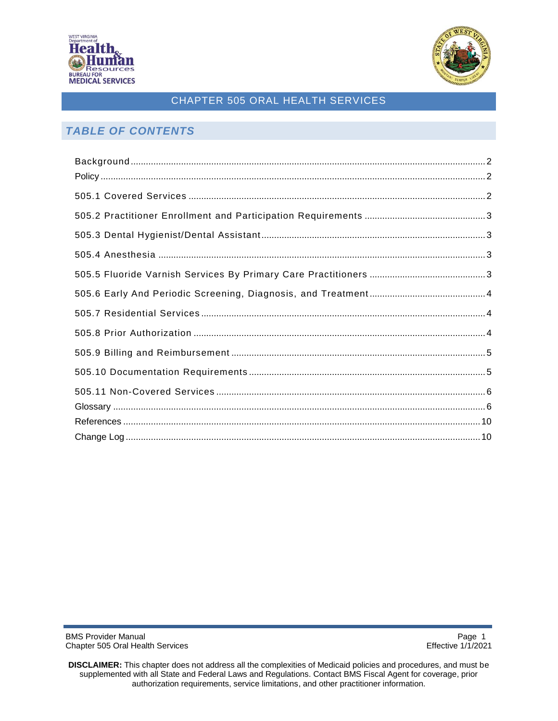



# *TABLE OF CONTENTS*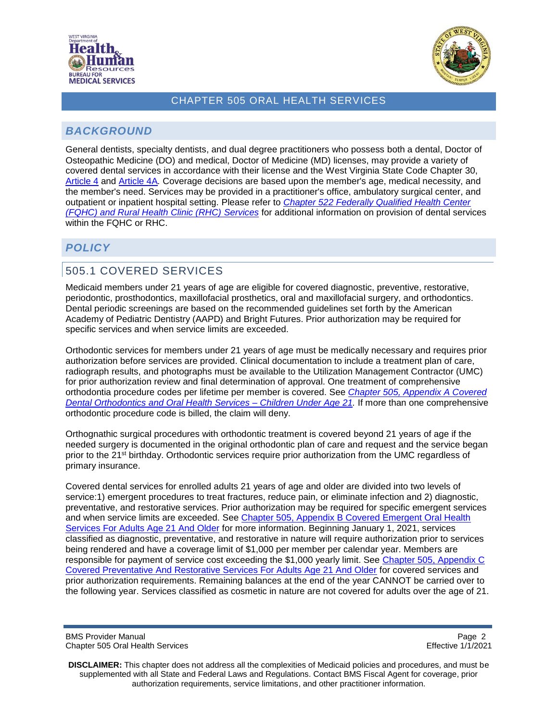



# <span id="page-1-0"></span>*BACKGROUND*

General dentists, specialty dentists, and dual degree practitioners who possess both a dental, Doctor of Osteopathic Medicine (DO) and medical, Doctor of Medicine (MD) licenses, may provide a variety of covered dental services in accordance with their license and the West Virginia State Code Chapter 30, [Article 4](http://www.legis.state.wv.us/WVCODE/Code.cfm?chap=30&art=4#04) and [Article](http://www.legis.state.wv.us/WVCODE/Code.cfm?chap=30&art=4A#04A) 4A*.* Coverage decisions are based upon the member's age, medical necessity, and the member's need. Services may be provided in a practitioner's office, ambulatory surgical center, and outpatient or inpatient hospital setting. Please refer to *[Chapter 522 Federally Qualified Health Center](https://dhhr.wv.gov/bms/Pages/Manuals.aspx)  [\(FQHC\) and Rural Health Clinic \(RHC\)](https://dhhr.wv.gov/bms/Pages/Manuals.aspx) Services* for additional information on provision of dental services within the FQHC or RHC.

# <span id="page-1-1"></span>*POLICY*

# <span id="page-1-2"></span>505.1 COVERED SERVICES

Medicaid members under 21 years of age are eligible for covered diagnostic, preventive, restorative, periodontic, prosthodontics, maxillofacial prosthetics, oral and maxillofacial surgery, and orthodontics. Dental periodic screenings are based on the recommended guidelines set forth by the American Academy of Pediatric Dentistry (AAPD) and Bright Futures. Prior authorization may be required for specific services and when service limits are exceeded.

Orthodontic services for members under 21 years of age must be medically necessary and requires prior authorization before services are provided. Clinical documentation to include a treatment plan of care, radiograph results, and photographs must be available to the Utilization Management Contractor (UMC) for prior authorization review and final determination of approval. One treatment of comprehensive orthodontia procedure codes per lifetime per member is covered. See *[Chapter 505,](https://dhhr.wv.gov/bms/Pages/Manuals.aspx) Appendix A Covered [Dental Orthodontics and Oral Health Services –](https://dhhr.wv.gov/bms/Pages/Manuals.aspx) Children Under Age 21.* If more than one comprehensive orthodontic procedure code is billed, the claim will deny.

Orthognathic surgical procedures with orthodontic treatment is covered beyond 21 years of age if the needed surgery is documented in the original orthodontic plan of care and request and the service began prior to the 21<sup>st</sup> birthday. Orthodontic services require prior authorization from the UMC regardless of primary insurance.

Covered dental services for enrolled adults 21 years of age and older are divided into two levels of service:1) emergent procedures to treat fractures, reduce pain, or eliminate infection and 2) diagnostic, preventative, and restorative services. Prior authorization may be required for specific emergent services and when service limits are exceeded. See [Chapter 505, Appendix B Covered Emergent Oral Health](https://dhhr.wv.gov/bms/Pages/Manuals.aspx)  [Services For Adults Age 21 And Older](https://dhhr.wv.gov/bms/Pages/Manuals.aspx) for more information. Beginning January 1, 2021, services classified as diagnostic, preventative, and restorative in nature will require authorization prior to services being rendered and have a coverage limit of \$1,000 per member per calendar year. Members are responsible for payment of service cost exceeding the \$1,000 yearly limit. See [Chapter 505, Appendix C](https://dhhr.wv.gov/bms/Pages/Manuals.aspx)  [Covered Preventative And Restorative Services For Adults Age 21 And Older](https://dhhr.wv.gov/bms/Pages/Manuals.aspx) for covered services and prior authorization requirements. Remaining balances at the end of the year CANNOT be carried over to the following year. Services classified as cosmetic in nature are not covered for adults over the age of 21.

BMS Provider Manual **Page 2** and 2011 12:30 and 2012 12:30 and 2012 12:30 and 2012 12:30 and 2012 12:30 and 2012 12:30 and 2012 12:30 and 2012 12:30 and 2012 12:30 and 2012 12:30 and 2012 12:30 and 2012 12:30 and 2012 12:3 Chapter 505 Oral Health Services Effective 1/1/2021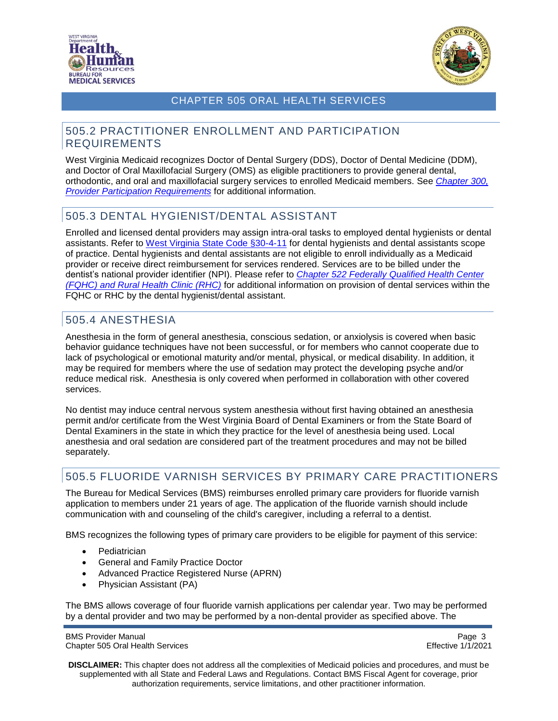



#### <span id="page-2-0"></span>505.2 PRACTITIONER ENROLLMENT AND PARTICIPATION REQUIREMENTS

West Virginia Medicaid recognizes Doctor of Dental Surgery (DDS), Doctor of Dental Medicine (DDM), and Doctor of Oral Maxillofacial Surgery (OMS) as eligible practitioners to provide general dental, orthodontic, and oral and maxillofacial surgery services to enrolled Medicaid members. See *[Chapter 300,](https://dhhr.wv.gov/bms/Pages/Manuals.aspx)  [Provider Participation Requirements](https://dhhr.wv.gov/bms/Pages/Manuals.aspx)* for additional information.

# <span id="page-2-1"></span>505.3 DENTAL HYGIENIST/DENTAL ASSISTANT

Enrolled and licensed dental providers may assign intra-oral tasks to employed dental hygienists or dental assistants. Refer to [West Virginia State Code §30-4-11](http://www.wvlegislature.gov/WVCODE/ChapterEntire.cfm?chap=30&art=4§ion=11) for dental hygienists and dental assistants scope of practice. Dental hygienists and dental assistants are not eligible to enroll individually as a Medicaid provider or receive direct reimbursement for services rendered. Services are to be billed under the dentist's national provider identifier (NPI). Please refer to *[Chapter 522 Federally Qualified Health Center](https://dhhr.wv.gov/bms/Pages/Manuals.aspx)  [\(FQHC\) and Rural Health Clinic \(RHC\)](https://dhhr.wv.gov/bms/Pages/Manuals.aspx)* for additional information on provision of dental services within the FQHC or RHC by the dental hygienist/dental assistant.

# <span id="page-2-2"></span>505.4 ANESTHESIA

Anesthesia in the form of general anesthesia, conscious sedation, or anxiolysis is covered when basic behavior guidance techniques have not been successful, or for members who cannot cooperate due to lack of psychological or emotional maturity and/or mental, physical, or medical disability. In addition, it may be required for members where the use of sedation may protect the developing psyche and/or reduce medical risk. Anesthesia is only covered when performed in collaboration with other covered services.

No dentist may induce central nervous system anesthesia without first having obtained an anesthesia permit and/or certificate from the West Virginia Board of Dental Examiners or from the State Board of Dental Examiners in the state in which they practice for the level of anesthesia being used. Local anesthesia and oral sedation are considered part of the treatment procedures and may not be billed separately.

# <span id="page-2-3"></span>505.5 FLUORIDE VARNISH SERVICES BY PRIMARY CARE PRACTITIONERS

The Bureau for Medical Services (BMS) reimburses enrolled primary care providers for fluoride varnish application to members under 21 years of age. The application of the fluoride varnish should include communication with and counseling of the child's caregiver, including a referral to a dentist.

BMS recognizes the following types of primary care providers to be eligible for payment of this service:

- Pediatrician
- General and Family Practice Doctor
- Advanced Practice Registered Nurse (APRN)
- Physician Assistant (PA)

The BMS allows coverage of four fluoride varnish applications per calendar year. Two may be performed by a dental provider and two may be performed by a non-dental provider as specified above. The

BMS Provider Manual Page 3<br>Chapter 505 Oral Health Services and Page 3 and Page 3 and Page 3 and Page 3 and Page 3 and Page 3 and Page 3 Chapter 505 Oral Health Services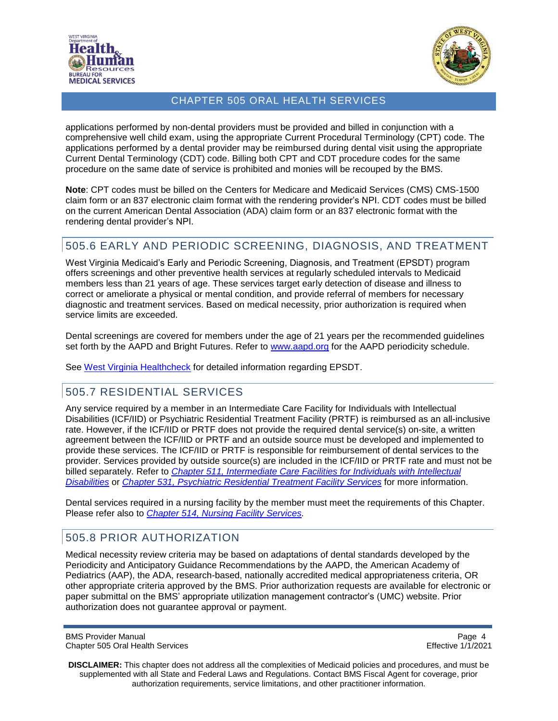



applications performed by non-dental providers must be provided and billed in conjunction with a comprehensive well child exam, using the appropriate Current Procedural Terminology (CPT) code. The applications performed by a dental provider may be reimbursed during dental visit using the appropriate Current Dental Terminology (CDT) code. Billing both CPT and CDT procedure codes for the same procedure on the same date of service is prohibited and monies will be recouped by the BMS.

**Note**: CPT codes must be billed on the Centers for Medicare and Medicaid Services (CMS) CMS-1500 claim form or an 837 electronic claim format with the rendering provider's NPI. CDT codes must be billed on the current American Dental Association (ADA) claim form or an 837 electronic format with the rendering dental provider's NPI.

# <span id="page-3-0"></span>505.6 EARLY AND PERIODIC SCREENING, DIAGNOSIS, AND TREATMENT

West Virginia Medicaid's Early and Periodic Screening, Diagnosis, and Treatment (EPSDT) program offers screenings and other preventive health services at regularly scheduled intervals to Medicaid members less than 21 years of age. These services target early detection of disease and illness to correct or ameliorate a physical or mental condition, and provide referral of members for necessary diagnostic and treatment services. Based on medical necessity, prior authorization is required when service limits are exceeded.

Dental screenings are covered for members under the age of 21 years per the recommended guidelines set forth by the AAPD and Bright Futures. Refer to [www.aapd.org](https://www.aapd.org/research/policy-center/state-dental-periodicity-schedules/) for the AAPD periodicity schedule.

See [West Virginia Healthcheck](http://www.dhhr.wv.gov/healthcheck) for detailed information regarding EPSDT.

#### <span id="page-3-1"></span>505.7 RESIDENTIAL SERVICES

Any service required by a member in an Intermediate Care Facility for Individuals with Intellectual Disabilities (ICF/IID) or Psychiatric Residential Treatment Facility (PRTF) is reimbursed as an all-inclusive rate. However, if the ICF/IID or PRTF does not provide the required dental service(s) on-site, a written agreement between the ICF/IID or PRTF and an outside source must be developed and implemented to provide these services. The ICF/IID or PRTF is responsible for reimbursement of dental services to the provider. Services provided by outside source(s) are included in the ICF/IID or PRTF rate and must not be billed separately. Refer to *[Chapter 511, Intermediate Care Facilities](http://www.dhhr.wv.gov/bms/Pages/Manuals.aspx) for Individuals with Intellectual [Disabilities](http://www.dhhr.wv.gov/bms/Pages/Manuals.aspx)* or *[Chapter 531, Psychiatric Residential Treatment Facility Services](https://dhhr.wv.gov/bms/Pages/Manuals.aspx)* for more information.

Dental services required in a nursing facility by the member must meet the requirements of this Chapter. Please refer also to *[Chapter 514, Nursing Facility Services.](http://www.dhhr.wv.gov/bms/Pages/Manuals.aspx)*

#### <span id="page-3-2"></span>505.8 PRIOR AUTHORIZATION

Medical necessity review criteria may be based on adaptations of dental standards developed by the Periodicity and Anticipatory Guidance Recommendations by the AAPD, the American Academy of Pediatrics (AAP), the ADA, research-based, nationally accredited medical appropriateness criteria, OR other appropriate criteria approved by the BMS. Prior authorization requests are available for electronic or paper submittal on the BMS' appropriate utilization management contractor's (UMC) website. Prior authorization does not guarantee approval or payment.

BMS Provider Manual **Page 4** and 2008 **Page 4** and 2008 **Page 4** and 2008 **Page 4 Page 4** Chapter 505 Oral Health Services Effective 1/1/2021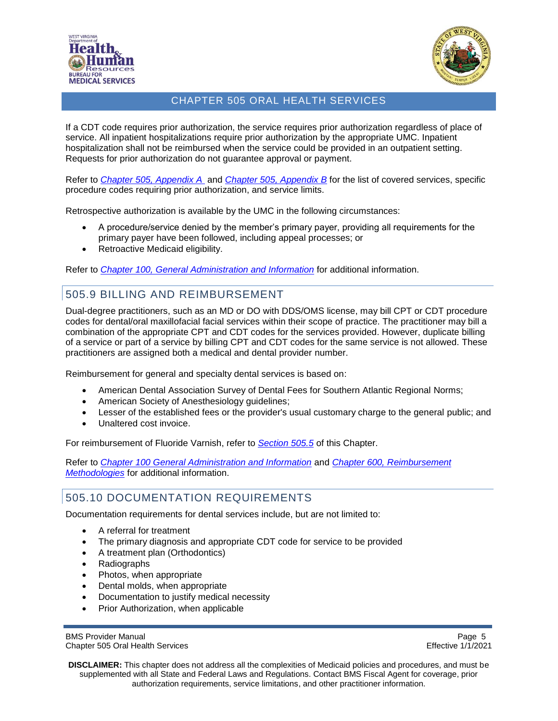



If a CDT code requires prior authorization, the service requires prior authorization regardless of place of service. All inpatient hospitalizations require prior authorization by the appropriate UMC. Inpatient hospitalization shall not be reimbursed when the service could be provided in an outpatient setting. Requests for prior authorization do not guarantee approval or payment.

Refer to *[Chapter 505, Appendix A](https://dhhr.wv.gov/bms/Pages/Manuals.aspx)* and *[Chapter 505, Appendix B](http://www.dhhr.wv.gov/bms/Pages/Manuals.aspx)* for the list of covered services, specific procedure codes requiring prior authorization, and service limits.

Retrospective authorization is available by the UMC in the following circumstances:

- A procedure/service denied by the member's primary payer, providing all requirements for the primary payer have been followed, including appeal processes; or
- Retroactive Medicaid eligibility.

Refer to *[Chapter 100, General Administration and Information](http://www.dhhr.wv.gov/bms/Pages/Manuals.aspx)* for additional information.

#### <span id="page-4-0"></span>505.9 BILLING AND REIMBURSEMENT

Dual-degree practitioners, such as an MD or DO with DDS/OMS license, may bill CPT or CDT procedure codes for dental/oral maxillofacial facial services within their scope of practice. The practitioner may bill a combination of the appropriate CPT and CDT codes for the services provided. However, duplicate billing of a service or part of a service by billing CPT and CDT codes for the same service is not allowed. These practitioners are assigned both a medical and dental provider number.

Reimbursement for general and specialty dental services is based on:

- American Dental Association Survey of Dental Fees for Southern Atlantic Regional Norms;
- American Society of Anesthesiology guidelines;
- Lesser of the established fees or the provider's usual customary charge to the general public; and
- Unaltered cost invoice.

For reimbursement of Fluoride Varnish, refer to *[Section 505.5](#page-2-3)* of this Chapter.

Refer to *[Chapter 100 General Administration and Information](http://www.dhhr.wv.gov/bms/Pages/Manuals.aspx)* and *Chapter 600, [Reimbursement](http://www.dhhr.wv.gov/bms/Pages/Manuals.aspx) [Methodologies](http://www.dhhr.wv.gov/bms/Pages/Manuals.aspx)* for additional information.

# <span id="page-4-1"></span>505.10 DOCUMENTATION REQUIREMENTS

Documentation requirements for dental services include, but are not limited to:

- A referral for treatment
- The primary diagnosis and appropriate CDT code for service to be provided
- A treatment plan (Orthodontics)
- Radiographs
- Photos, when appropriate
- Dental molds, when appropriate
- Documentation to justify medical necessity
- Prior Authorization, when applicable

BMS Provider Manual **Page 5** and 2011 12 and 2012 12:30 and 2012 12:30 and 2012 12:30 and 2012 12:30 and 2012 12:30 and 2012 12:30 and 2012 12:30 and 2012 12:30 and 2012 12:30 and 2012 12:30 and 2012 12:30 and 2012 12:30 a Chapter 505 Oral Health Services Effective 1/1/2021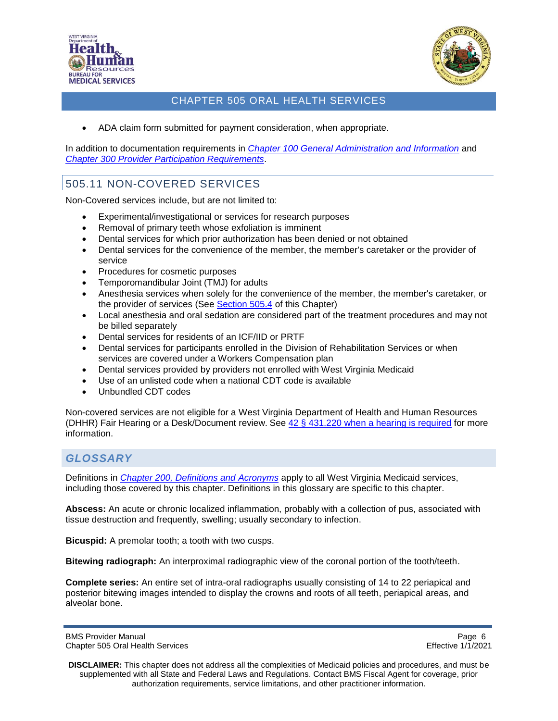



• ADA claim form submitted for payment consideration, when appropriate.

In addition to documentation requirements in *[Chapter 100 General Administration and Information](http://www.dhhr.wv.gov/bms/Pages/Manuals.aspx)* and *[Chapter 300 Provider Participation Requirements](http://www.dhhr.wv.gov/bms/Pages/Manuals.aspx)*.

# <span id="page-5-0"></span>505.11 NON-COVERED SERVICES

Non-Covered services include, but are not limited to:

- Experimental/investigational or services for research purposes
- Removal of primary teeth whose exfoliation is imminent
- Dental services for which prior authorization has been denied or not obtained
- Dental services for the convenience of the member, the member's caretaker or the provider of service
- Procedures for cosmetic purposes
- Temporomandibular Joint (TMJ) for adults
- Anesthesia services when solely for the convenience of the member, the member's caretaker, or the provider of services (See [Section 505.4](#page-2-2) of this Chapter)
- Local anesthesia and oral sedation are considered part of the treatment procedures and may not be billed separately
- Dental services for residents of an ICF/IID or PRTF
- Dental services for participants enrolled in the Division of Rehabilitation Services or when services are covered under a Workers Compensation plan
- Dental services provided by providers not enrolled with West Virginia Medicaid
- Use of an unlisted code when a national CDT code is available
- Unbundled CDT codes

Non-covered services are not eligible for a West Virginia Department of Health and Human Resources (DHHR) Fair Hearing or a Desk/Document review. See [42 § 431.220 when a hearing is required](https://www.gpo.gov/fdsys/granule/CFR-2009-title42-vol4/CFR-2009-title42-vol4-sec431-220) for more information.

# <span id="page-5-1"></span>*GLOSSARY*

Definitions in *[Chapter 200, Definitions and](http://www.dhhr.wv.gov/bms/Pages/Manuals.aspx) Acronyms* apply to all West Virginia Medicaid services, including those covered by this chapter. Definitions in this glossary are specific to this chapter.

**Abscess:** An acute or chronic localized inflammation, probably with a collection of pus, associated with tissue destruction and frequently, swelling; usually secondary to infection.

**Bicuspid:** A premolar tooth; a tooth with two cusps.

**Bitewing radiograph:** An interproximal radiographic view of the coronal portion of the tooth/teeth.

**Complete series:** An entire set of intra-oral radiographs usually consisting of 14 to 22 periapical and posterior bitewing images intended to display the crowns and roots of all teeth, periapical areas, and alveolar bone.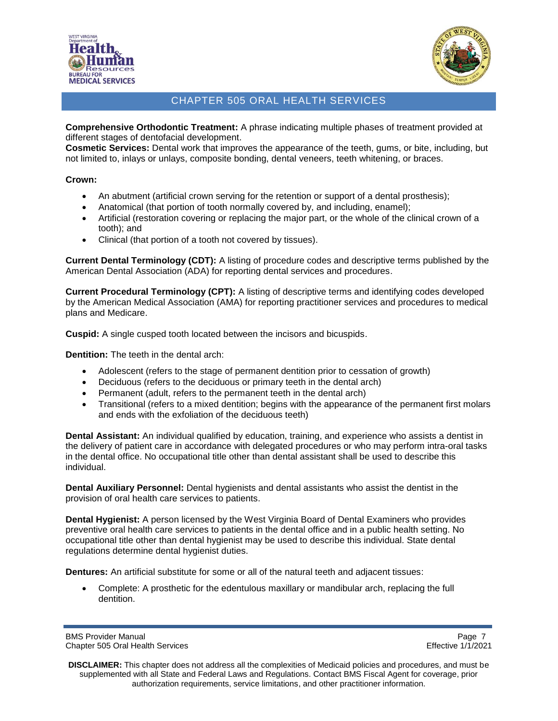



**Comprehensive Orthodontic Treatment:** A phrase indicating multiple phases of treatment provided at different stages of dentofacial development.

**Cosmetic Services:** Dental work that improves the appearance of the teeth, gums, or bite, including, but not limited to, inlays or unlays, composite bonding, dental veneers, teeth whitening, or braces.

#### **Crown:**

- An abutment (artificial crown serving for the retention or support of a dental prosthesis);
- Anatomical (that portion of tooth normally covered by, and including, enamel);
- Artificial (restoration covering or replacing the major part, or the whole of the clinical crown of a tooth); and
- Clinical (that portion of a tooth not covered by tissues).

**Current Dental Terminology (CDT):** A listing of procedure codes and descriptive terms published by the American Dental Association (ADA) for reporting dental services and procedures.

**Current Procedural Terminology (CPT):** A listing of descriptive terms and identifying codes developed by the American Medical Association (AMA) for reporting practitioner services and procedures to medical plans and Medicare.

**Cuspid:** A single cusped tooth located between the incisors and bicuspids.

**Dentition:** The teeth in the dental arch:

- Adolescent (refers to the stage of permanent dentition prior to cessation of growth)
- Deciduous (refers to the deciduous or primary teeth in the dental arch)
- Permanent (adult, refers to the permanent teeth in the dental arch)
- Transitional (refers to a mixed dentition; begins with the appearance of the permanent first molars and ends with the exfoliation of the deciduous teeth)

**Dental Assistant:** An individual qualified by education, training, and experience who assists a dentist in the delivery of patient care in accordance with delegated procedures or who may perform intra-oral tasks in the dental office. No occupational title other than dental assistant shall be used to describe this individual.

**Dental Auxiliary Personnel:** Dental hygienists and dental assistants who assist the dentist in the provision of oral health care services to patients.

**Dental Hygienist:** A person licensed by the West Virginia Board of Dental Examiners who provides preventive oral health care services to patients in the dental office and in a public health setting. No occupational title other than dental hygienist may be used to describe this individual. State dental regulations determine dental hygienist duties.

**Dentures:** An artificial substitute for some or all of the natural teeth and adjacent tissues:

• Complete: A prosthetic for the edentulous maxillary or mandibular arch, replacing the full dentition.

BMS Provider Manual **Page 7** and 2011 12 and 2012 12:30 and 2012 12:30 and 2012 12:30 and 2012 12:30 and 2012 12:30 and 2012 12:30 and 2012 12:30 and 2012 12:30 and 2012 12:30 and 2012 12:30 and 2012 12:30 and 2012 12:30 a Chapter 505 Oral Health Services Effective 1/1/2021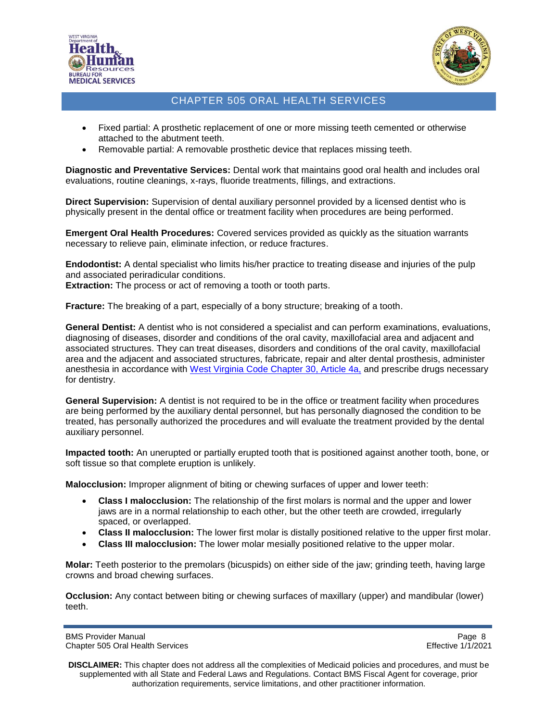



- Fixed partial: A prosthetic replacement of one or more missing teeth cemented or otherwise attached to the abutment teeth.
- Removable partial: A removable prosthetic device that replaces missing teeth.

**Diagnostic and Preventative Services:** Dental work that maintains good oral health and includes oral evaluations, routine cleanings, x-rays, fluoride treatments, fillings, and extractions.

**Direct Supervision:** Supervision of dental auxiliary personnel provided by a licensed dentist who is physically present in the dental office or treatment facility when procedures are being performed.

**Emergent Oral Health Procedures:** Covered services provided as quickly as the situation warrants necessary to relieve pain, eliminate infection, or reduce fractures.

**Endodontist:** A dental specialist who limits his/her practice to treating disease and injuries of the pulp and associated periradicular conditions.

**Extraction:** The process or act of removing a tooth or tooth parts.

**Fracture:** The breaking of a part, especially of a bony structure; breaking of a tooth.

**General Dentist:** A dentist who is not considered a specialist and can perform examinations, evaluations, diagnosing of diseases, disorder and conditions of the oral cavity, maxillofacial area and adjacent and associated structures. They can treat diseases, disorders and conditions of the oral cavity, maxillofacial area and the adjacent and associated structures, fabricate, repair and alter dental prosthesis, administer anesthesia in accordance with [West Virginia Code Chapter](http://www.wvlegislature.gov/wvcode/code.cfm?chap=30&art=4A#01) 30, Article 4a, and prescribe drugs necessary for dentistry.

**General Supervision:** A dentist is not required to be in the office or treatment facility when procedures are being performed by the auxiliary dental personnel, but has personally diagnosed the condition to be treated, has personally authorized the procedures and will evaluate the treatment provided by the dental auxiliary personnel.

**Impacted tooth:** An unerupted or partially erupted tooth that is positioned against another tooth, bone, or soft tissue so that complete eruption is unlikely.

**Malocclusion:** Improper alignment of biting or chewing surfaces of upper and lower teeth:

- **Class I malocclusion:** The relationship of the first molars is normal and the upper and lower jaws are in a normal relationship to each other, but the other teeth are crowded, irregularly spaced, or overlapped.
- **Class II malocclusion:** The lower first molar is distally positioned relative to the upper first molar.
- **Class III malocclusion:** The lower molar mesially positioned relative to the upper molar.

**Molar:** Teeth posterior to the premolars (bicuspids) on either side of the jaw; grinding teeth, having large crowns and broad chewing surfaces.

**Occlusion:** Any contact between biting or chewing surfaces of maxillary (upper) and mandibular (lower) teeth.

BMS Provider Manual **Page 8** and 2011 12:30 and 2012 12:30 and 2012 12:30 and 2012 12:30 and 2012 12:30 and 2012 12:30 and 2012 12:30 and 2012 12:30 and 2012 12:30 and 2012 12:30 and 2012 12:30 and 2012 12:30 and 2012 12:3 Chapter 505 Oral Health Services Effective 1/1/2021

**DISCLAIMER:** This chapter does not address all the complexities of Medicaid policies and procedures, and must be supplemented with all State and Federal Laws and Regulations. Contact BMS Fiscal Agent for coverage, prior authorization requirements, service limitations, and other practitioner information.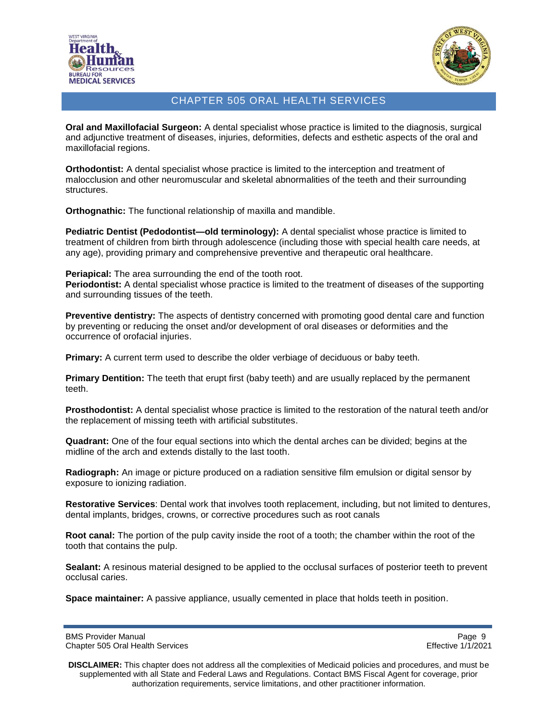



**Oral and Maxillofacial Surgeon:** A dental specialist whose practice is limited to the diagnosis, surgical and adjunctive treatment of diseases, injuries, deformities, defects and esthetic aspects of the oral and maxillofacial regions.

**Orthodontist:** A dental specialist whose practice is limited to the interception and treatment of malocclusion and other neuromuscular and skeletal abnormalities of the teeth and their surrounding structures.

**Orthognathic:** The functional relationship of maxilla and mandible.

**Pediatric Dentist (Pedodontist—old terminology):** A dental specialist whose practice is limited to treatment of children from birth through adolescence (including those with special health care needs, at any age), providing primary and comprehensive preventive and therapeutic oral healthcare.

**Periapical:** The area surrounding the end of the tooth root.

**Periodontist:** A dental specialist whose practice is limited to the treatment of diseases of the supporting and surrounding tissues of the teeth.

**Preventive dentistry:** The aspects of dentistry concerned with promoting good dental care and function by preventing or reducing the onset and/or development of oral diseases or deformities and the occurrence of orofacial injuries.

**Primary:** A current term used to describe the older verbiage of deciduous or baby teeth.

**Primary Dentition:** The teeth that erupt first (baby teeth) and are usually replaced by the permanent teeth.

**Prosthodontist:** A dental specialist whose practice is limited to the restoration of the natural teeth and/or the replacement of missing teeth with artificial substitutes.

**Quadrant:** One of the four equal sections into which the dental arches can be divided; begins at the midline of the arch and extends distally to the last tooth.

**Radiograph:** An image or picture produced on a radiation sensitive film emulsion or digital sensor by exposure to ionizing radiation.

**Restorative Services**: Dental work that involves tooth replacement, including, but not limited to dentures, dental implants, bridges, crowns, or corrective procedures such as root canals

**Root canal:** The portion of the pulp cavity inside the root of a tooth; the chamber within the root of the tooth that contains the pulp.

**Sealant:** A resinous material designed to be applied to the occlusal surfaces of posterior teeth to prevent occlusal caries.

**Space maintainer:** A passive appliance, usually cemented in place that holds teeth in position.

BMS Provider Manual **Page 9** and Page 9 and Page 9 and Page 9 and Page 9 and Page 9 and Page 9 and Page 9 and Page 9 and Page 9 and Page 9 and Page 9 and Page 9 and Page 9 and Page 9 and Page 9 and Page 9 and Page 9 and Pa Chapter 505 Oral Health Services Effective 1/1/2021